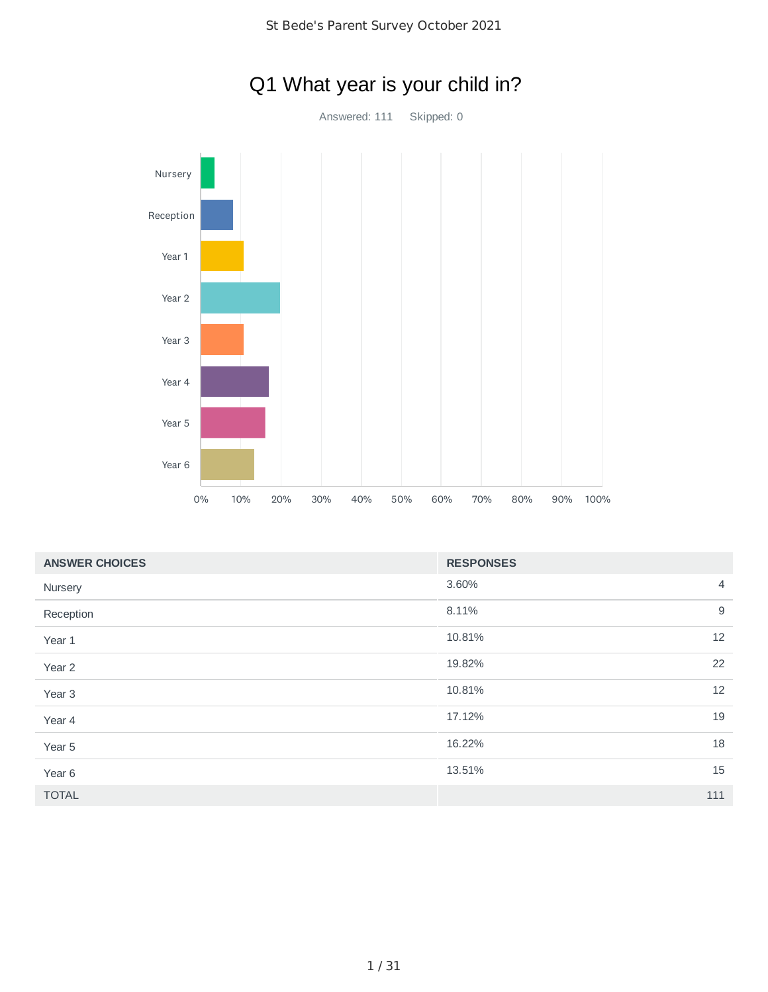

# Q1 What year is your child in?

| <b>ANSWER CHOICES</b> | <b>RESPONSES</b> |                |
|-----------------------|------------------|----------------|
| Nursery               | 3.60%            | $\overline{4}$ |
| Reception             | 8.11%            | 9              |
| Year 1                | 10.81%           | 12             |
| Year 2                | 19.82%           | 22             |
| Year <sub>3</sub>     | 10.81%           | 12             |
| Year 4                | 17.12%           | 19             |
| Year 5                | 16.22%           | 18             |
| Year 6                | 13.51%           | 15             |
| <b>TOTAL</b>          |                  | 111            |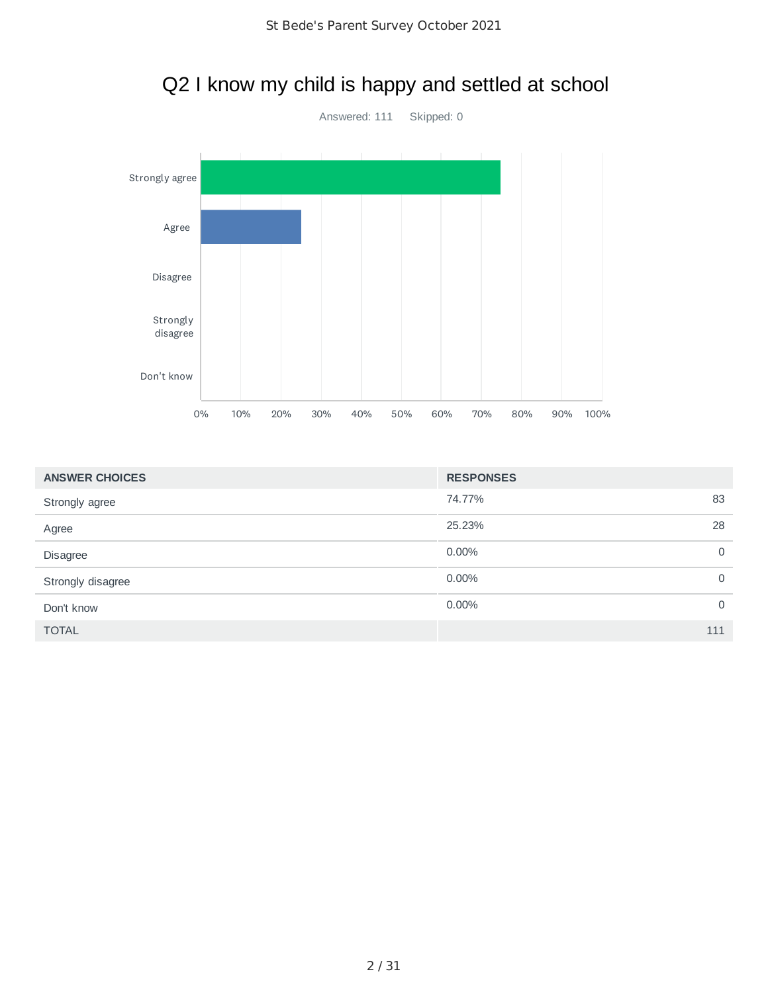

# Q2 I know my child is happy and settled at school

| <b>ANSWER CHOICES</b> | <b>RESPONSES</b> |             |
|-----------------------|------------------|-------------|
| Strongly agree        | 74.77%           | 83          |
| Agree                 | 25.23%           | 28          |
| Disagree              | 0.00%            | $\mathbf 0$ |
| Strongly disagree     | 0.00%            | $\mathbf 0$ |
| Don't know            | 0.00%            | $\mathbf 0$ |
| <b>TOTAL</b>          |                  | 111         |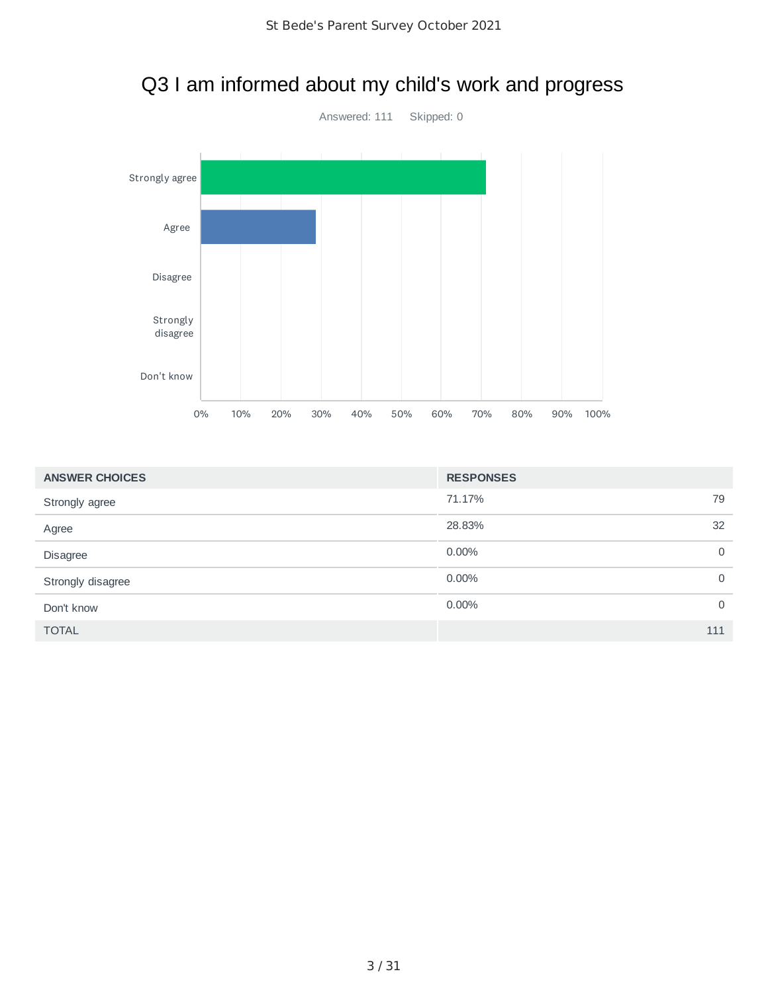

#### Q3 I am informed about my child's work and progress

| <b>ANSWER CHOICES</b> | <b>RESPONSES</b> |             |
|-----------------------|------------------|-------------|
| Strongly agree        | 71.17%           | 79          |
| Agree                 | 28.83%           | 32          |
| Disagree              | $0.00\%$         | 0           |
| Strongly disagree     | $0.00\%$         | $\mathbf 0$ |
| Don't know            | $0.00\%$         | $\mathbf 0$ |
| <b>TOTAL</b>          |                  | 111         |
|                       |                  |             |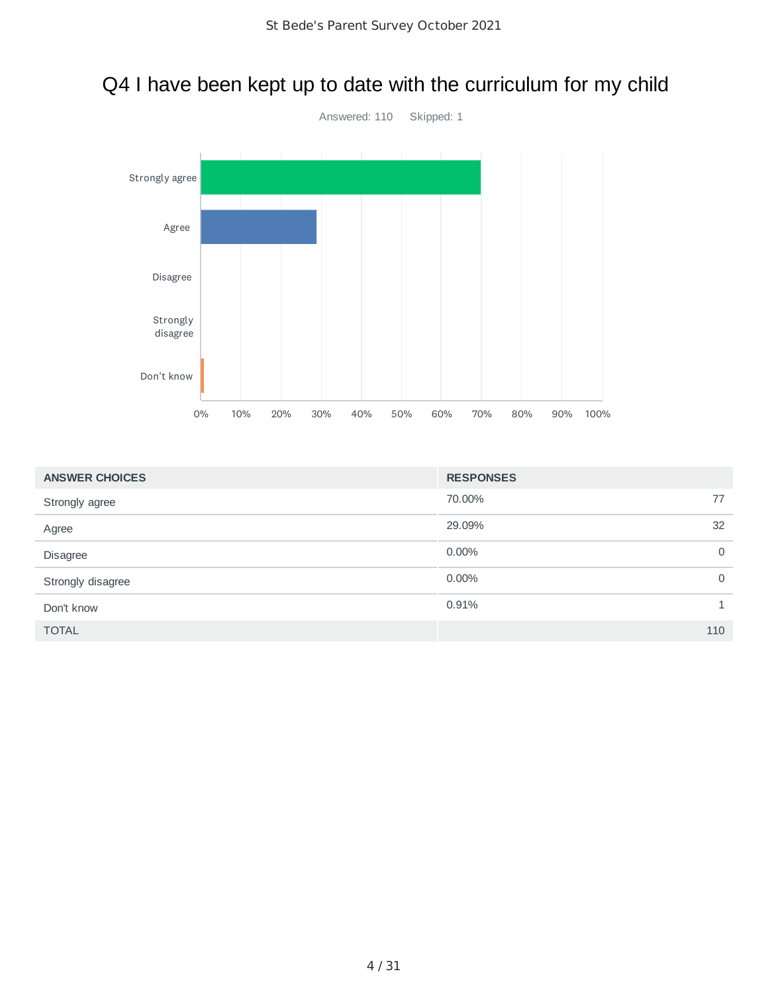

#### Q4 I have been kept up to date with the curriculum for my child

| <b>ANSWER CHOICES</b> | <b>RESPONSES</b> |             |
|-----------------------|------------------|-------------|
| Strongly agree        | 70.00%           | 77          |
| Agree                 | 29.09%           | 32          |
| <b>Disagree</b>       | 0.00%            | $\mathbf 0$ |
| Strongly disagree     | 0.00%            | $\mathbf 0$ |
| Don't know            | 0.91%            |             |
| <b>TOTAL</b>          |                  | 110         |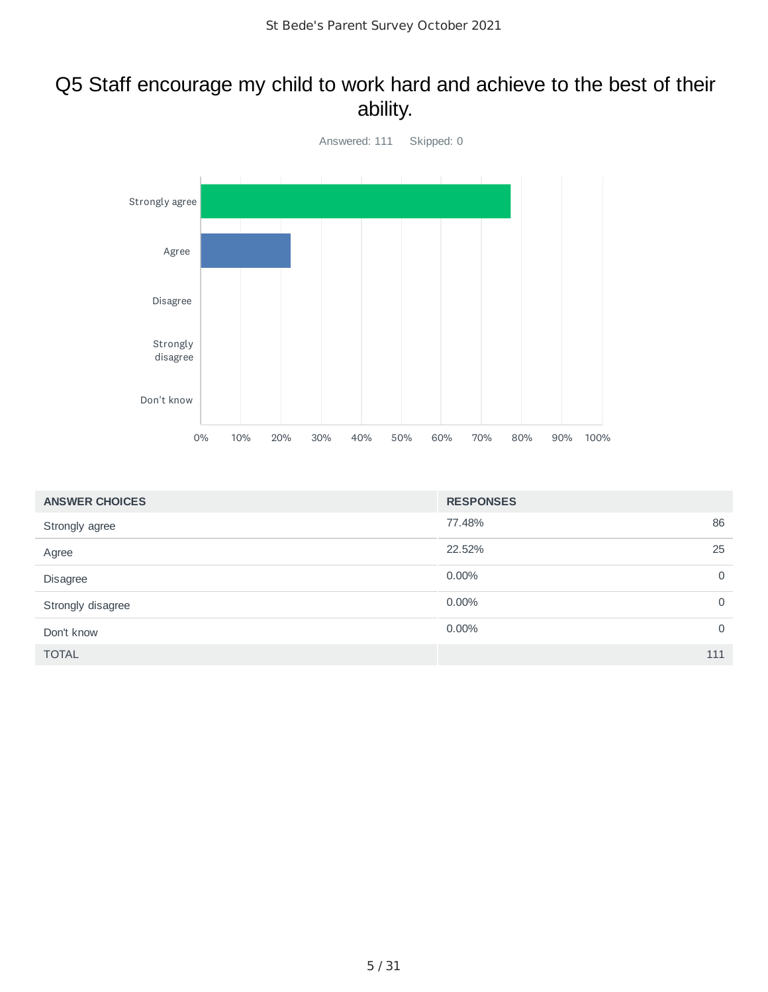#### Q5 Staff encourage my child to work hard and achieve to the best of their ability.



| <b>ANSWER CHOICES</b> | <b>RESPONSES</b>     |
|-----------------------|----------------------|
| Strongly agree        | 86<br>77.48%         |
| Agree                 | 22.52%<br>25         |
| Disagree              | 0.00%<br>$\mathbf 0$ |
| Strongly disagree     | 0.00%<br>$\mathbf 0$ |
| Don't know            | 0.00%<br>$\mathbf 0$ |
| <b>TOTAL</b>          | 111                  |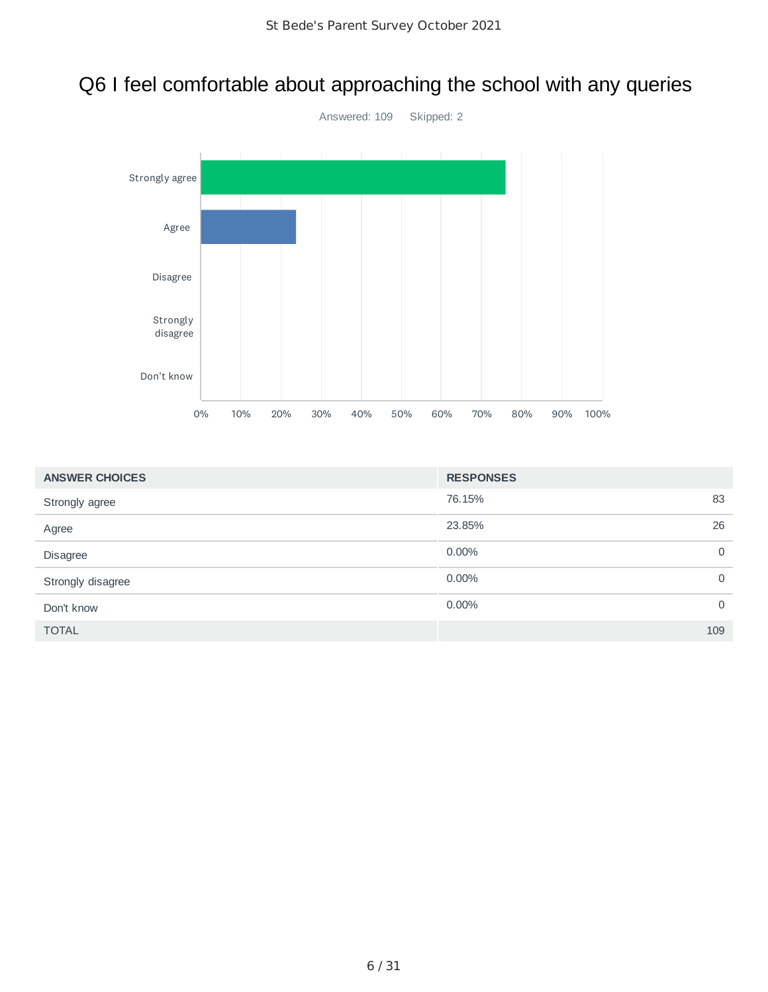## Q6 I feel comfortable about approaching the school with any queries



| <b>ANSWER CHOICES</b> | <b>RESPONSES</b> |             |
|-----------------------|------------------|-------------|
| Strongly agree        | 76.15%           | 83          |
| Agree                 | 23.85%           | 26          |
| Disagree              | $0.00\%$         | $\mathbf 0$ |
| Strongly disagree     | $0.00\%$         | $\mathbf 0$ |
| Don't know            | 0.00%            | $\mathbf 0$ |
| <b>TOTAL</b>          |                  | 109         |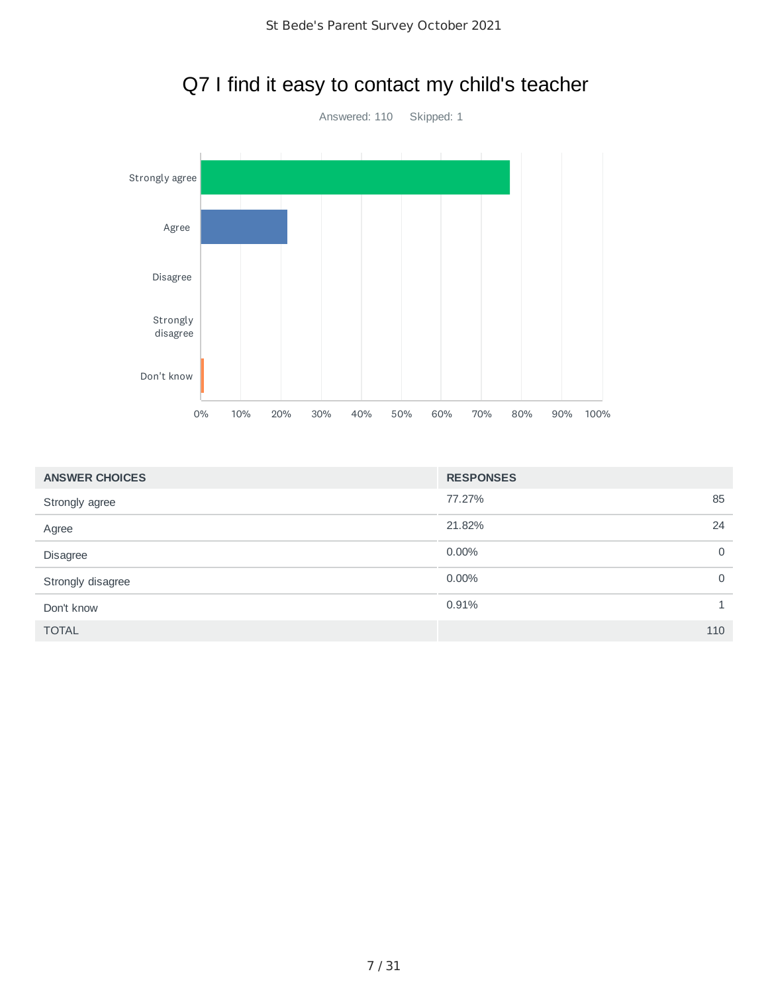

## Q7 I find it easy to contact my child's teacher

| <b>ANSWER CHOICES</b> | <b>RESPONSES</b> |              |
|-----------------------|------------------|--------------|
| Strongly agree        | 77.27%           | 85           |
| Agree                 | 21.82%           | 24           |
| Disagree              | 0.00%            | 0            |
| Strongly disagree     | 0.00%            | $\mathbf 0$  |
| Don't know            | 0.91%            | $\mathbf{1}$ |
| <b>TOTAL</b>          |                  | 110          |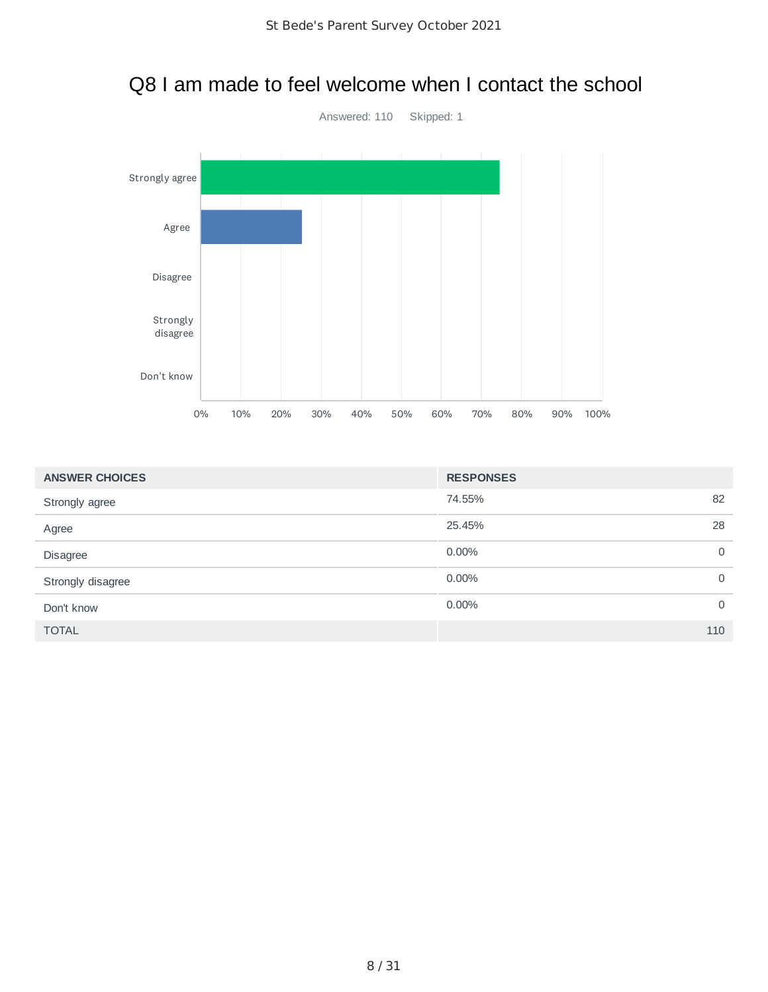

#### Q8 I am made to feel welcome when I contact the school

| <b>ANSWER CHOICES</b> | <b>RESPONSES</b>     |
|-----------------------|----------------------|
| Strongly agree        | 74.55%<br>82         |
| Agree                 | 25.45%<br>28         |
| Disagree              | 0.00%<br>$\mathbf 0$ |
| Strongly disagree     | 0.00%<br>$\mathbf 0$ |
| Don't know            | 0.00%<br>$\mathbf 0$ |
| <b>TOTAL</b>          | 110                  |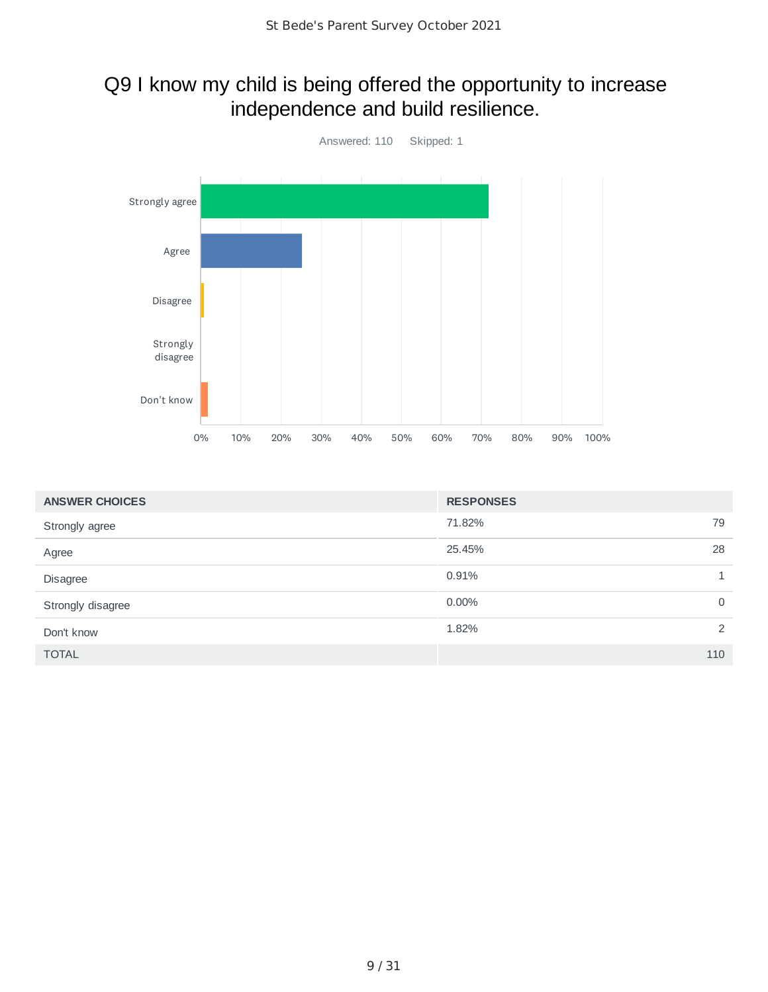### Q9 I know my child is being offered the opportunity to increase independence and build resilience.



| <b>ANSWER CHOICES</b> | <b>RESPONSES</b> |             |
|-----------------------|------------------|-------------|
| Strongly agree        | 71.82%           | 79          |
| Agree                 | 25.45%           | 28          |
| Disagree              | 0.91%            |             |
| Strongly disagree     | 0.00%            | $\mathbf 0$ |
| Don't know            | 1.82%            | 2           |
| <b>TOTAL</b>          |                  | 110         |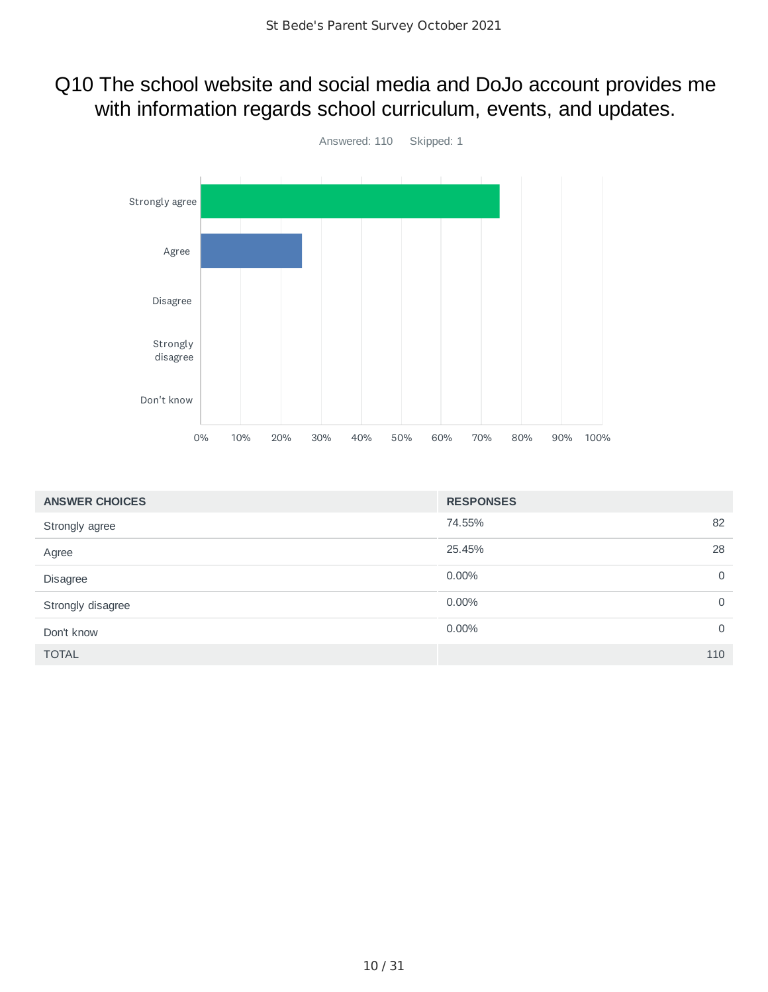#### Q10 The school website and social media and DoJo account provides me with information regards school curriculum, events, and updates.



| <b>ANSWER CHOICES</b> | <b>RESPONSES</b> |    |
|-----------------------|------------------|----|
| Strongly agree        | 74.55%           | 82 |
| Agree                 | 25.45%           | 28 |
| Disagree              | 0.00%            | 0  |
| Strongly disagree     | 0.00%            | 0  |
| Don't know            | 0.00%            | 0  |
| <b>TOTAL</b>          | 110              |    |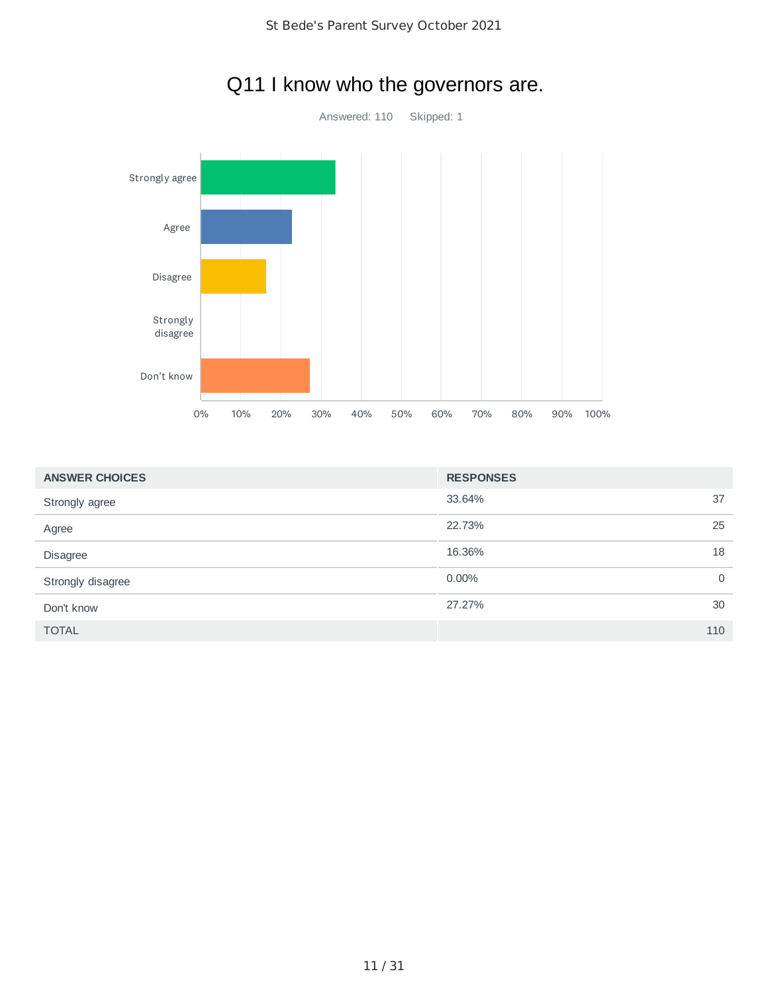

### Q11 I know who the governors are.

| 37<br>33.64%<br>Strongly agree<br>25<br>22.73%<br>Agree<br>18<br>16.36%<br><b>Disagree</b><br>$0.00\%$<br>$\mathbf 0$<br>Strongly disagree<br>30<br>27.27%<br>Don't know<br>110<br><b>TOTAL</b> | <b>ANSWER CHOICES</b> | <b>RESPONSES</b> |  |
|-------------------------------------------------------------------------------------------------------------------------------------------------------------------------------------------------|-----------------------|------------------|--|
|                                                                                                                                                                                                 |                       |                  |  |
|                                                                                                                                                                                                 |                       |                  |  |
|                                                                                                                                                                                                 |                       |                  |  |
|                                                                                                                                                                                                 |                       |                  |  |
|                                                                                                                                                                                                 |                       |                  |  |
|                                                                                                                                                                                                 |                       |                  |  |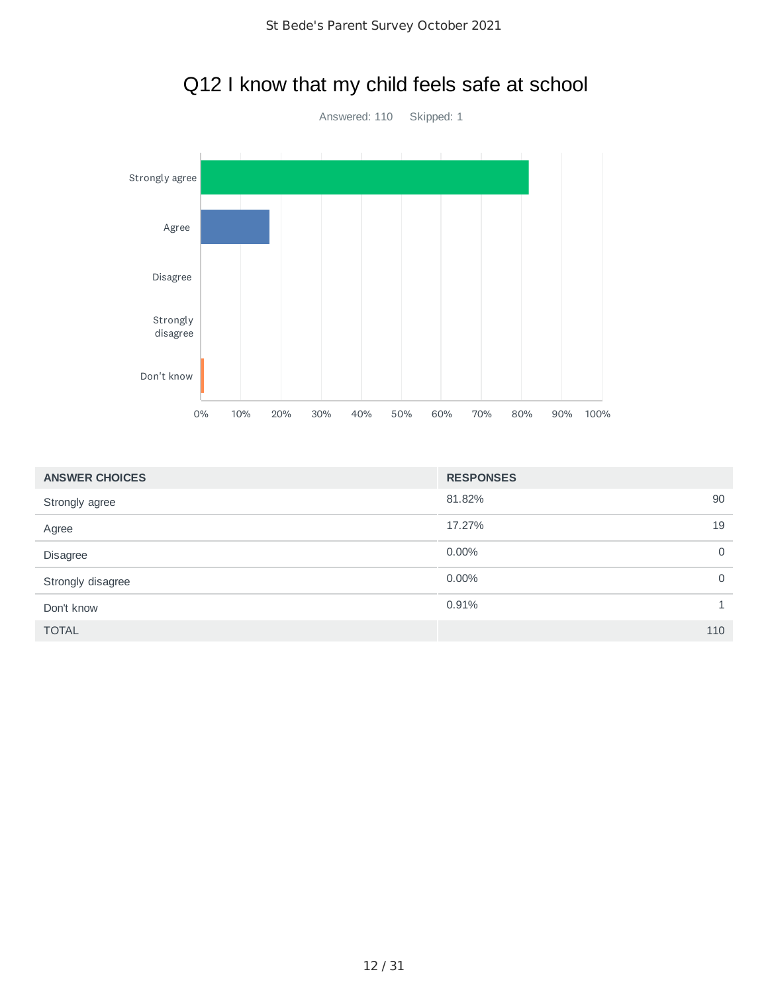

# Q12 I know that my child feels safe at school

| <b>ANSWER CHOICES</b> | <b>RESPONSES</b> |              |
|-----------------------|------------------|--------------|
| Strongly agree        | 81.82%           | 90           |
| Agree                 | 17.27%           | 19           |
| Disagree              | 0.00%            | $\mathbf 0$  |
| Strongly disagree     | 0.00%            | $\mathbf 0$  |
| Don't know            | 0.91%            | $\mathbf{1}$ |
| <b>TOTAL</b>          |                  | 110          |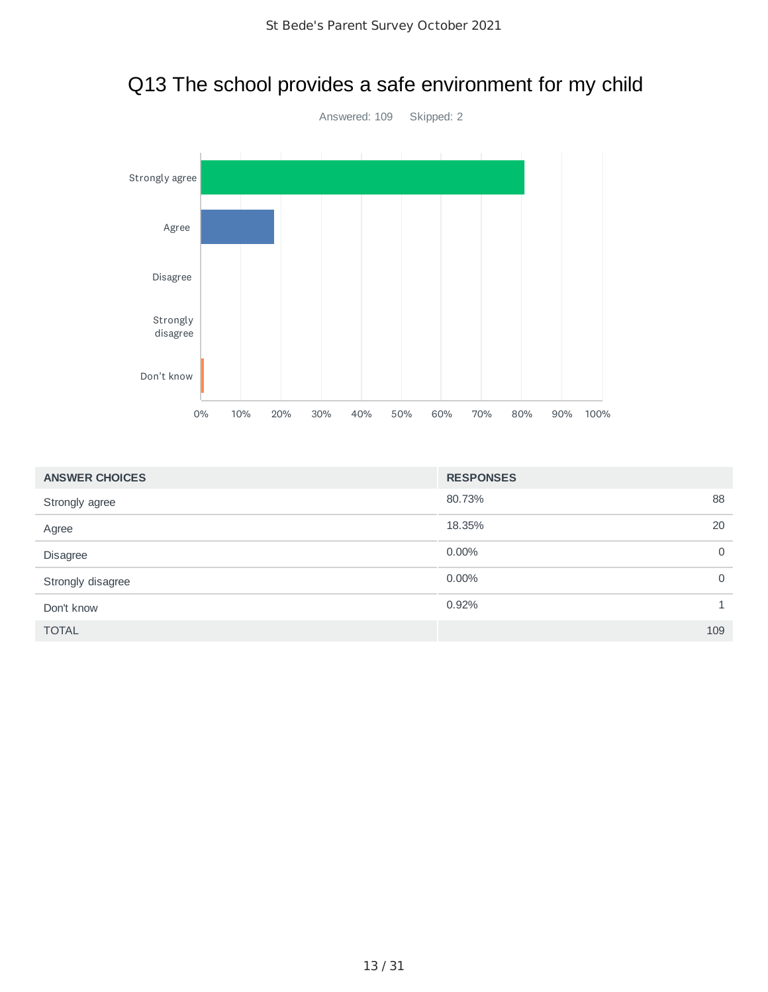

| <b>ANSWER CHOICES</b> | <b>RESPONSES</b> |              |
|-----------------------|------------------|--------------|
| Strongly agree        | 80.73%           | 88           |
| Agree                 | 18.35%           | 20           |
| Disagree              | $0.00\%$         | $\mathbf 0$  |
| Strongly disagree     | $0.00\%$         | $\mathbf 0$  |
| Don't know            | 0.92%            | $\mathbf{1}$ |
| <b>TOTAL</b>          |                  | 109          |

# Q13 The school provides a safe environment for my child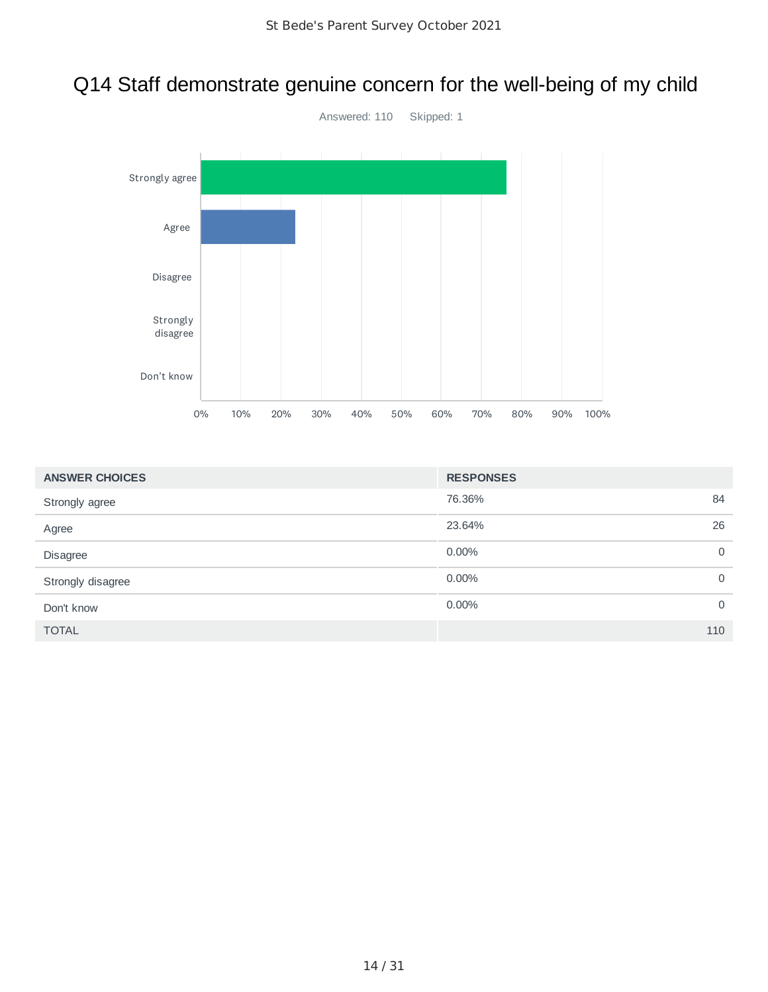## Q14 Staff demonstrate genuine concern for the well-being of my child



| <b>ANSWER CHOICES</b> | <b>RESPONSES</b> |             |
|-----------------------|------------------|-------------|
| Strongly agree        | 76.36%           | 84          |
| Agree                 | 23.64%           | 26          |
| Disagree              | 0.00%            | $\mathbf 0$ |
| Strongly disagree     | $0.00\%$         | $\mathbf 0$ |
| Don't know            | $0.00\%$         | $\mathbf 0$ |
| <b>TOTAL</b>          |                  | 110         |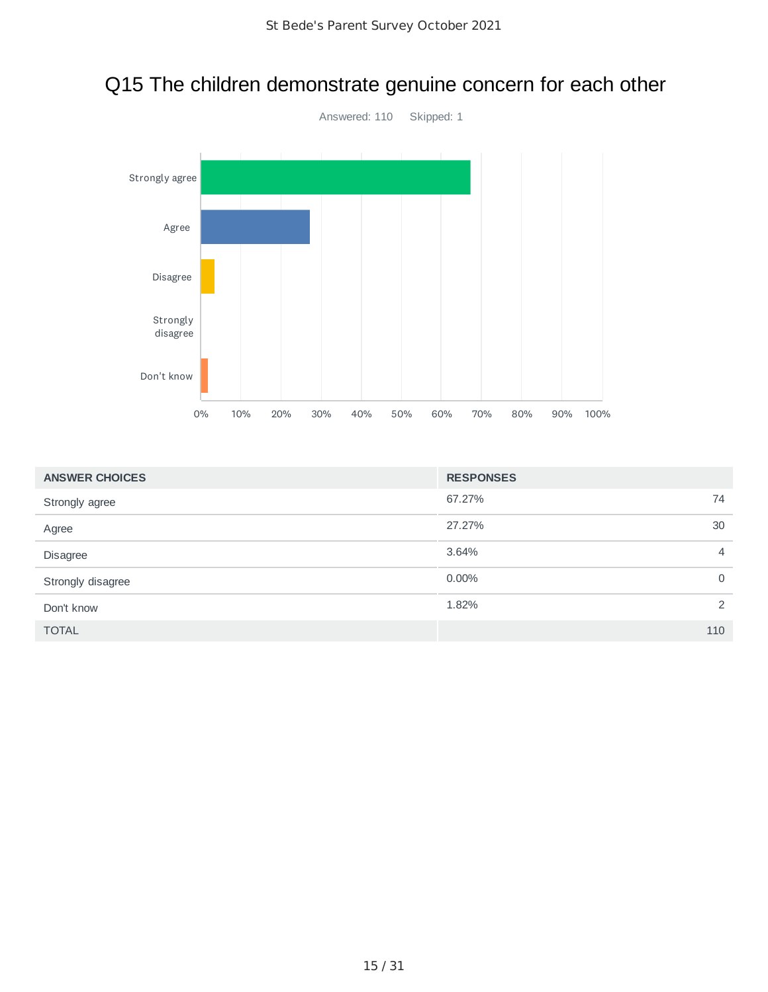

#### Q15 The children demonstrate genuine concern for each other

| <b>ANSWER CHOICES</b> | <b>RESPONSES</b>        |
|-----------------------|-------------------------|
| Strongly agree        | 67.27%<br>74            |
| Agree                 | 27.27%<br>30            |
| Disagree              | 3.64%<br>$\overline{4}$ |
| Strongly disagree     | 0.00%<br>$\mathbf 0$    |
| Don't know            | 1.82%<br>2              |
| <b>TOTAL</b>          | 110                     |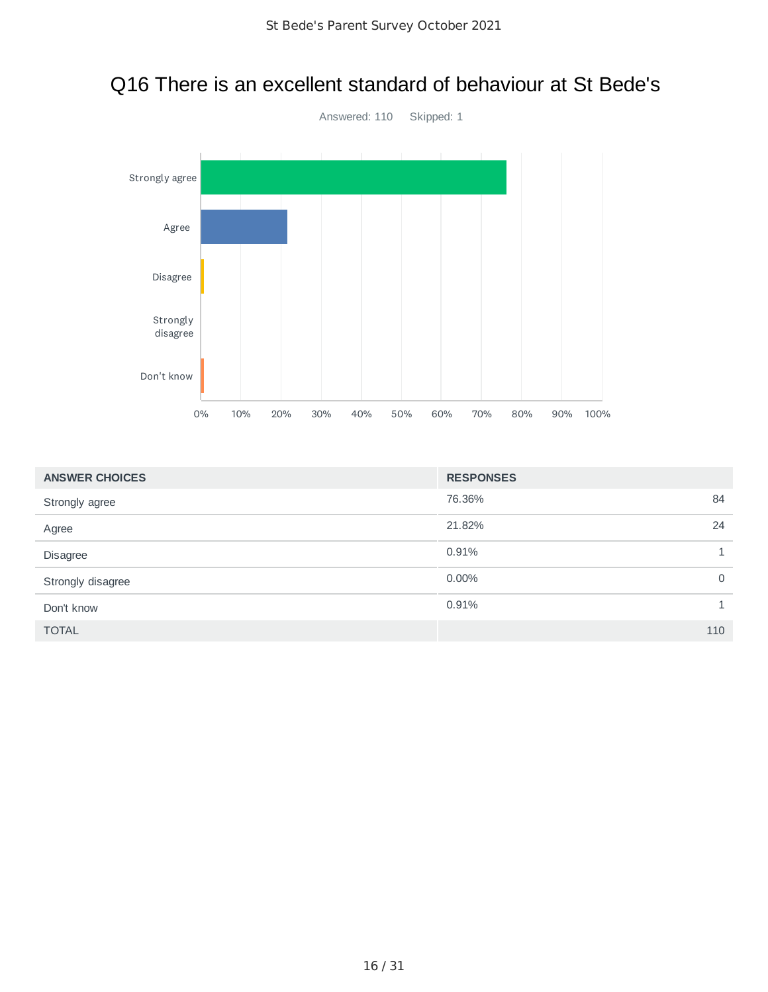

| <b>ANSWER CHOICES</b> | <b>RESPONSES</b> |              |
|-----------------------|------------------|--------------|
| Strongly agree        | 76.36%           | 84           |
| Agree                 | 21.82%           | 24           |
| Disagree              | 0.91%            | 1            |
| Strongly disagree     | 0.00%            | $\mathbf 0$  |
| Don't know            | 0.91%            | $\mathbf{1}$ |
| <b>TOTAL</b>          |                  | 110          |

## Q16 There is an excellent standard of behaviour at St Bede's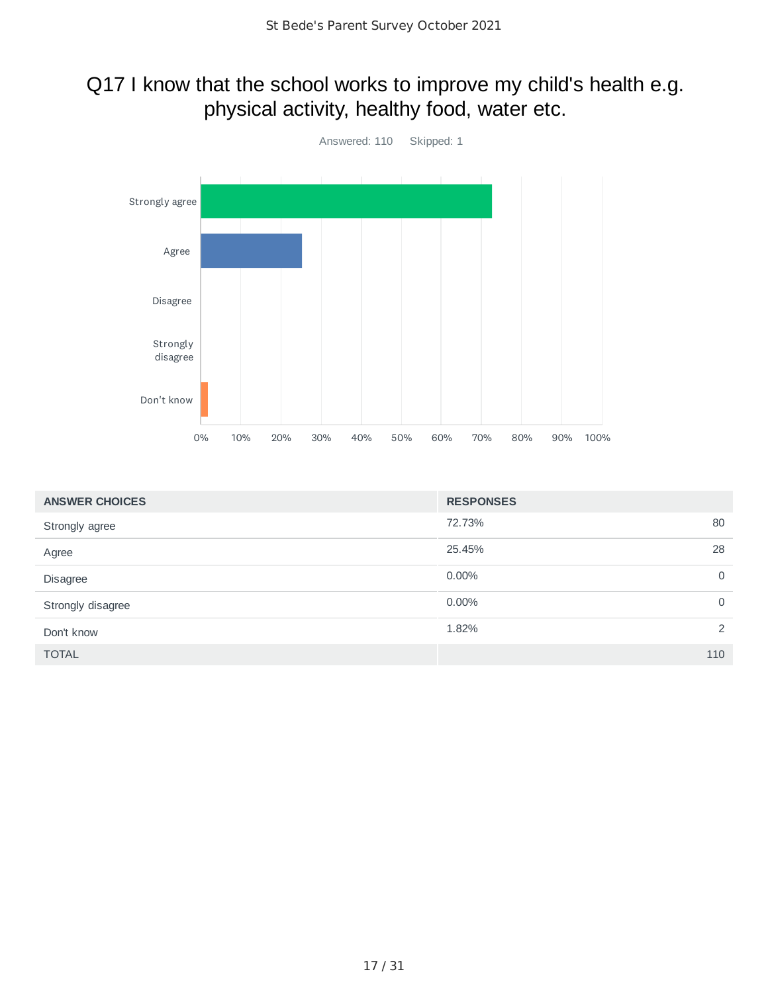#### Q17 I know that the school works to improve my child's health e.g. physical activity, healthy food, water etc.



| <b>ANSWER CHOICES</b> | <b>RESPONSES</b> |   |
|-----------------------|------------------|---|
| Strongly agree        | 72.73%<br>80     |   |
| Agree                 | 25.45%<br>28     |   |
| Disagree              | 0.00%            | 0 |
| Strongly disagree     | 0.00%            | 0 |
| Don't know            | 1.82%            | 2 |
| <b>TOTAL</b>          | 110              |   |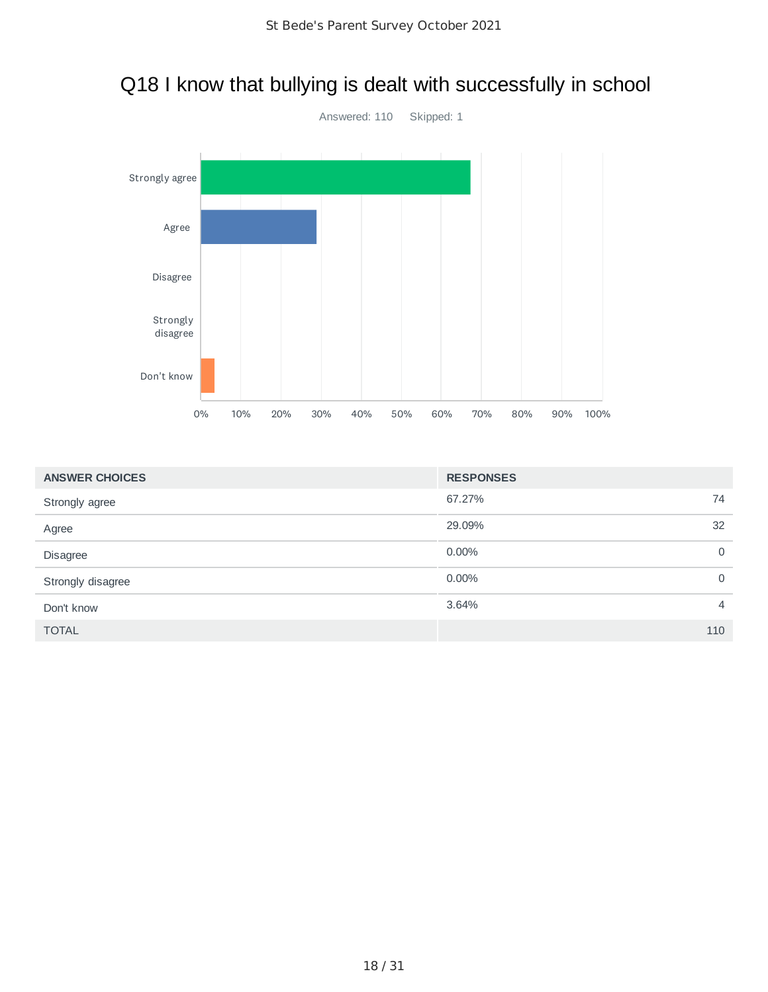

#### Q18 I know that bullying is dealt with successfully in school

| <b>ANSWER CHOICES</b> | <b>RESPONSES</b> |                |
|-----------------------|------------------|----------------|
| Strongly agree        | 67.27%           | 74             |
| Agree                 | 29.09%           | 32             |
| Disagree              | 0.00%            | $\mathbf 0$    |
| Strongly disagree     | 0.00%            | $\mathbf 0$    |
| Don't know            | 3.64%            | $\overline{4}$ |
| <b>TOTAL</b>          |                  | 110            |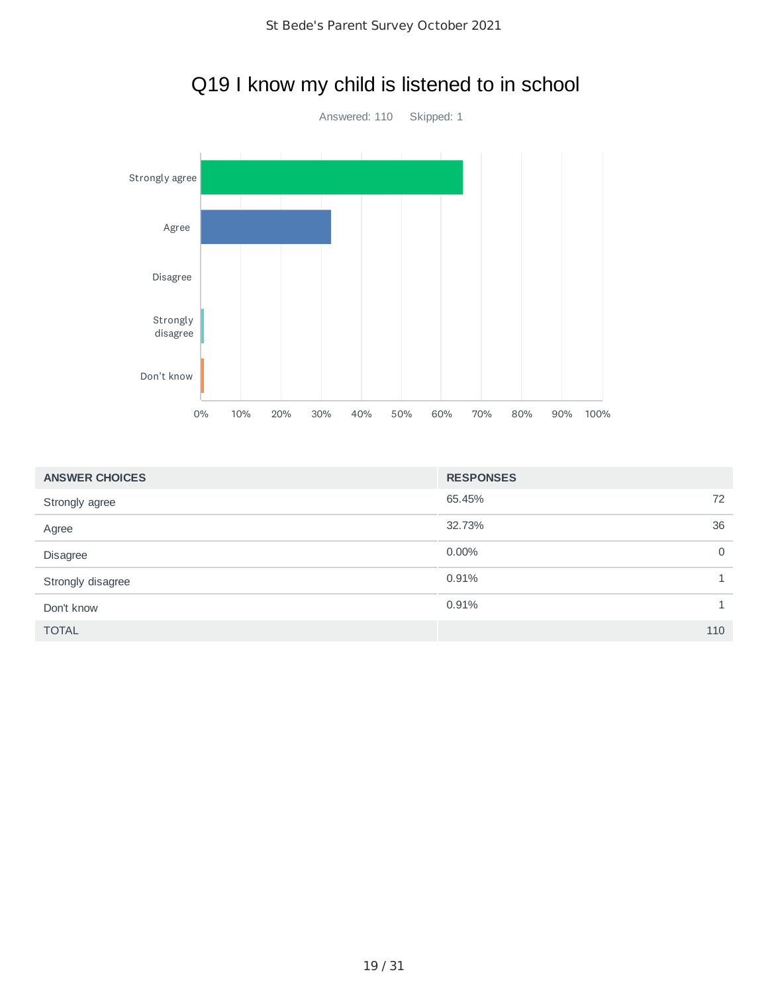

# Q19 I know my child is listened to in school

| <b>ANSWER CHOICES</b> | <b>RESPONSES</b> |             |
|-----------------------|------------------|-------------|
| Strongly agree        | 65.45%           | 72          |
| Agree                 | 32.73%           | 36          |
| <b>Disagree</b>       | 0.00%            | $\mathbf 0$ |
| Strongly disagree     | 0.91%            |             |
| Don't know            | 0.91%            | 1           |
| <b>TOTAL</b>          |                  | 110         |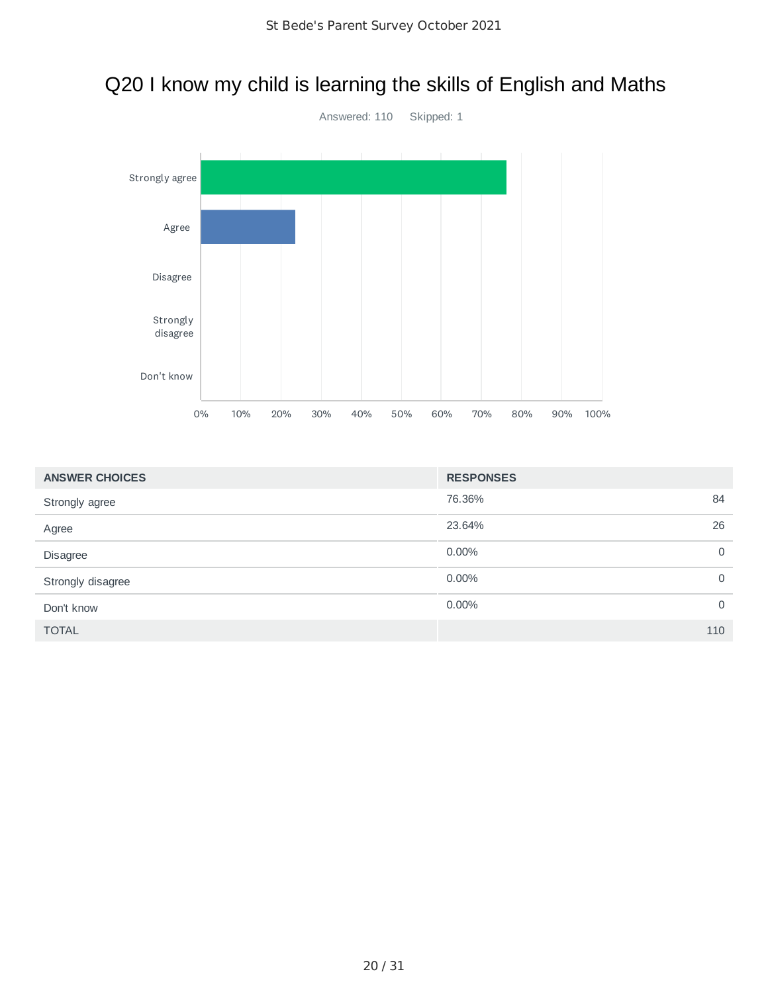#### Q20 I know my child is learning the skills of English and Maths



| <b>ANSWER CHOICES</b> | <b>RESPONSES</b> |             |
|-----------------------|------------------|-------------|
| Strongly agree        | 76.36%           | 84          |
| Agree                 | 23.64%           | 26          |
| Disagree              | $0.00\%$         | $\mathbf 0$ |
| Strongly disagree     | $0.00\%$         | $\mathbf 0$ |
| Don't know            | $0.00\%$         | $\mathbf 0$ |
| <b>TOTAL</b>          |                  | 110         |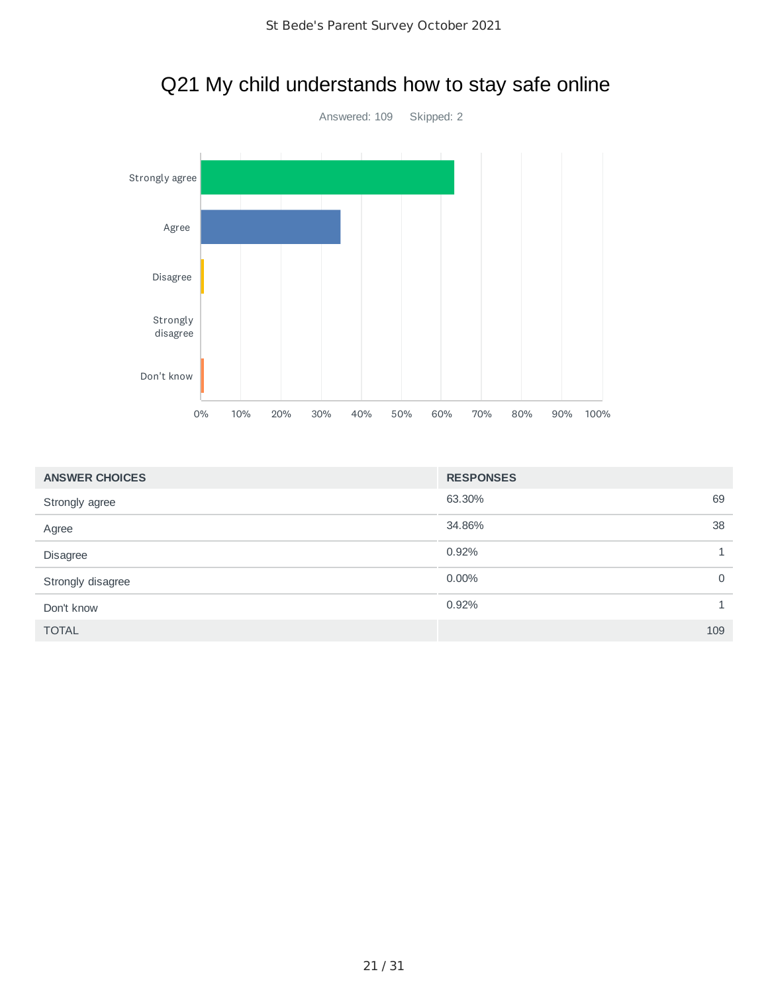

# Q21 My child understands how to stay safe online

| <b>ANSWER CHOICES</b> | <b>RESPONSES</b> |              |
|-----------------------|------------------|--------------|
| Strongly agree        | 63.30%           | 69           |
| Agree                 | 34.86%           | 38           |
| Disagree              | 0.92%            | $\mathbf{1}$ |
| Strongly disagree     | $0.00\%$         | 0            |
| Don't know            | 0.92%            | 1            |
| <b>TOTAL</b>          |                  | 109          |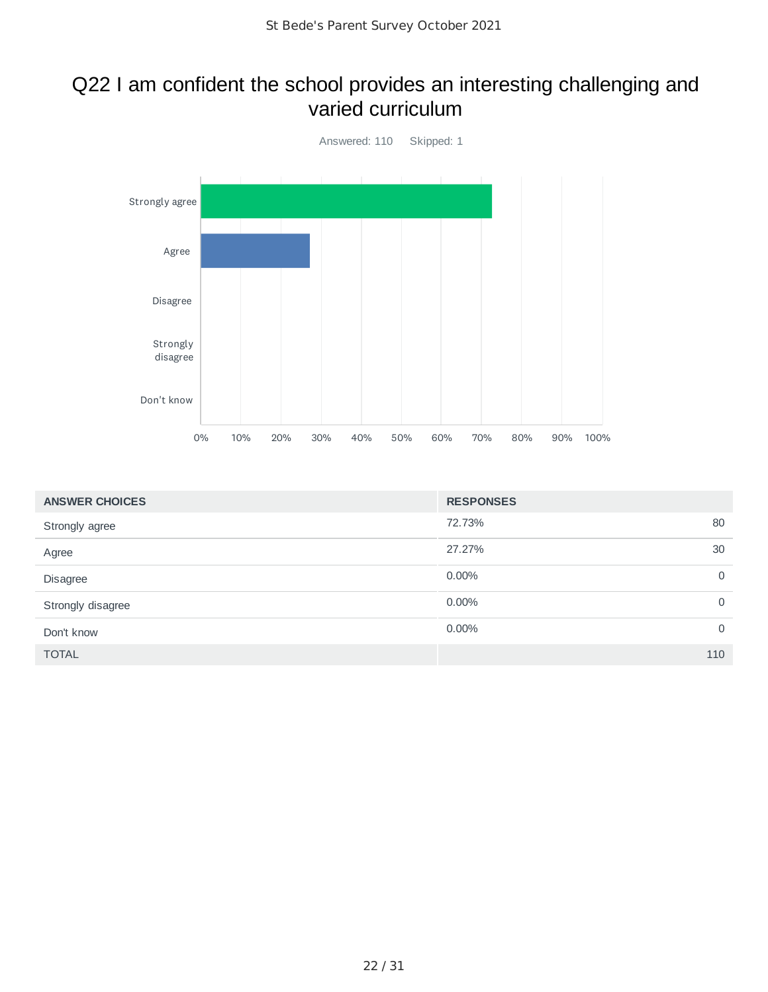#### Q22 I am confident the school provides an interesting challenging and varied curriculum



| <b>ANSWER CHOICES</b> | <b>RESPONSES</b> |             |
|-----------------------|------------------|-------------|
| Strongly agree        | 72.73%           | 80          |
| Agree                 | 27.27%           | 30          |
| Disagree              | 0.00%            | $\mathbf 0$ |
| Strongly disagree     | 0.00%            | 0           |
| Don't know            | 0.00%            | $\mathbf 0$ |
| <b>TOTAL</b>          |                  | 110         |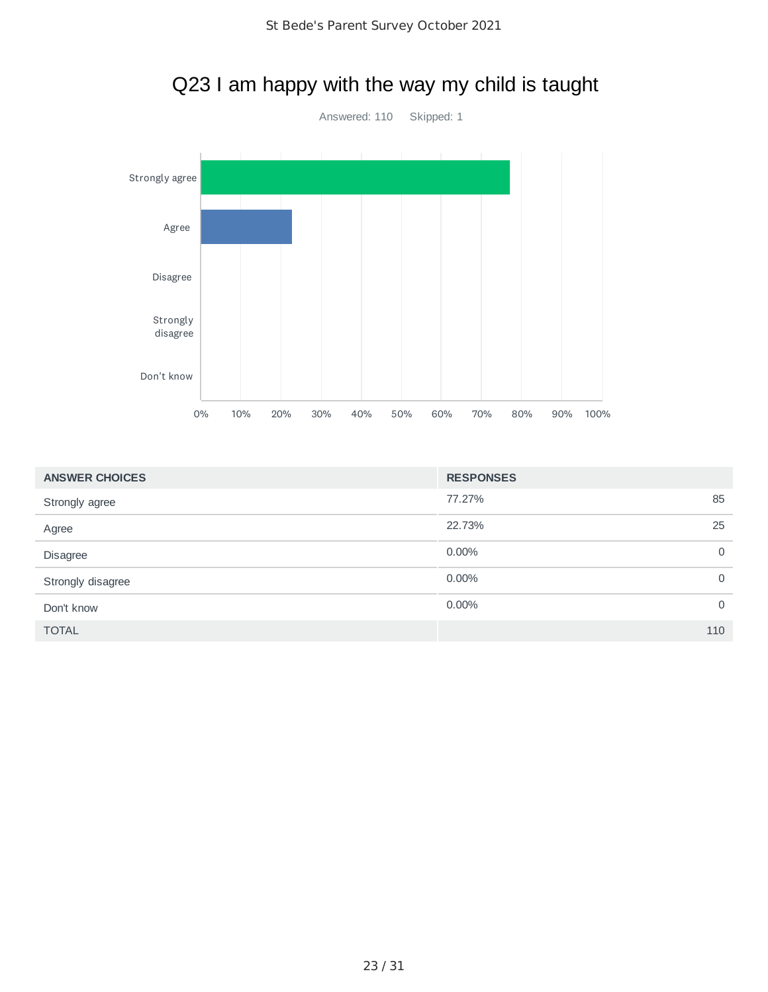

#### Q23 I am happy with the way my child is taught

| <b>ANSWER CHOICES</b> | <b>RESPONSES</b> |             |
|-----------------------|------------------|-------------|
| Strongly agree        | 77.27%           | 85          |
| Agree                 | 22.73%           | 25          |
| Disagree              | $0.00\%$         | $\mathbf 0$ |
| Strongly disagree     | $0.00\%$         | $\mathbf 0$ |
| Don't know            | $0.00\%$         | $\mathbf 0$ |
| <b>TOTAL</b>          |                  | 110         |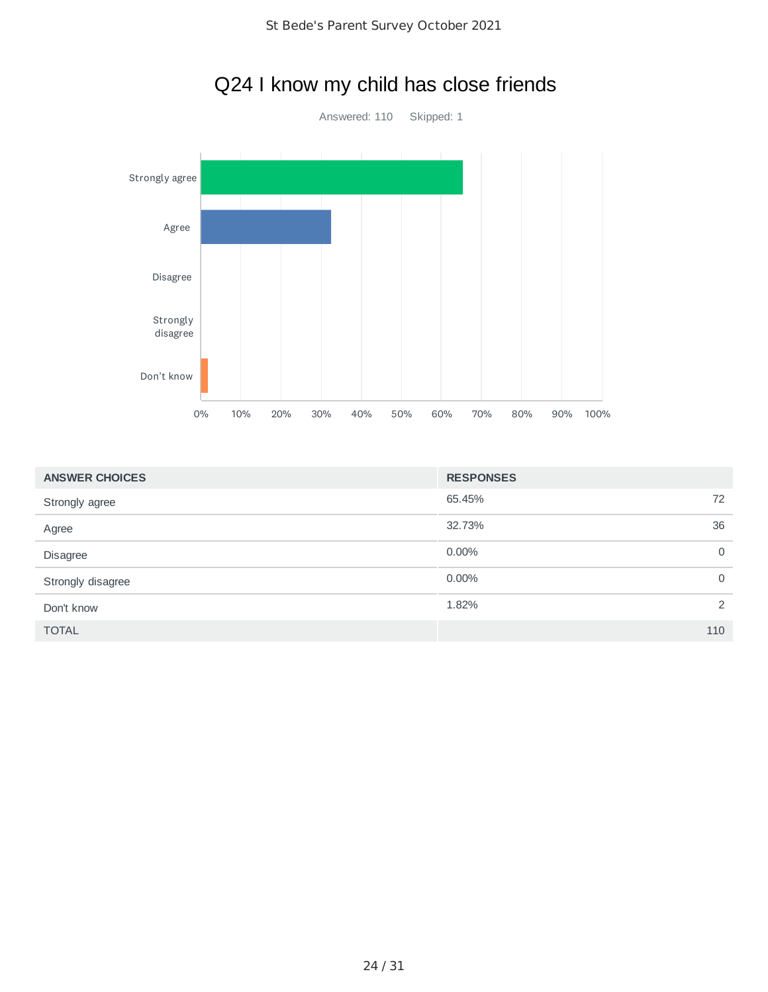

# Q24 I know my child has close friends

| <b>ANSWER CHOICES</b> | <b>RESPONSES</b> |             |
|-----------------------|------------------|-------------|
| Strongly agree        | 65.45%           | 72          |
| Agree                 | 32.73%           | 36          |
| Disagree              | 0.00%            | 0           |
| Strongly disagree     | 0.00%            | $\mathbf 0$ |
| Don't know            | 1.82%            | 2           |
| <b>TOTAL</b>          |                  | 110         |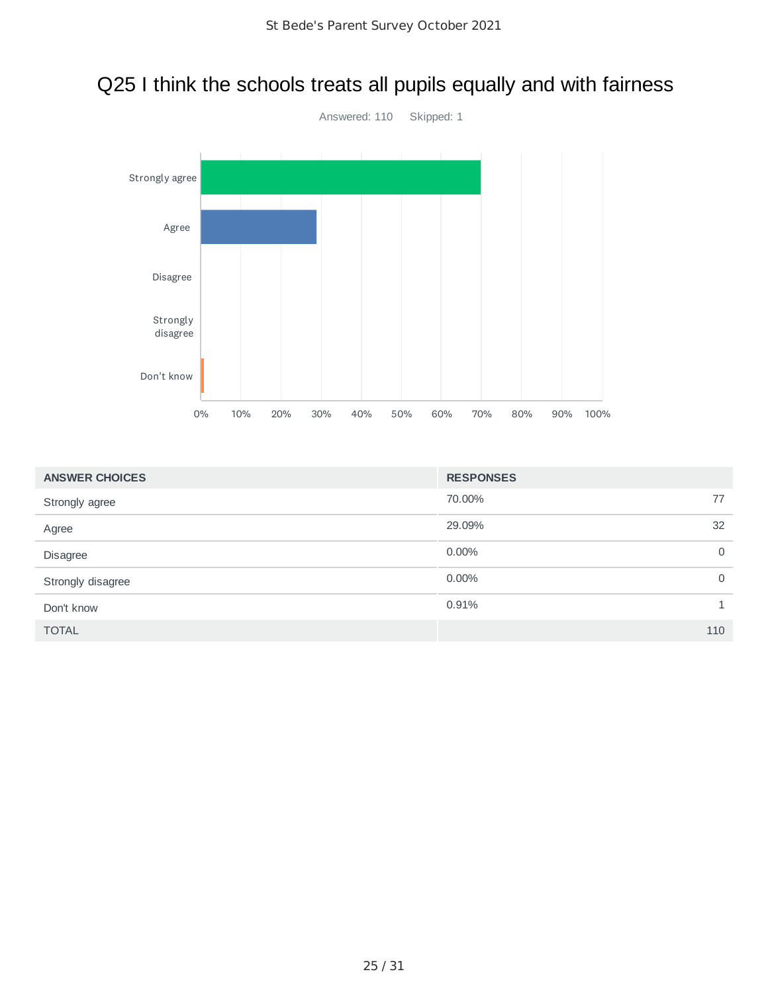## Q25 I think the schools treats all pupils equally and with fairness



| <b>ANSWER CHOICES</b> | <b>RESPONSES</b> |     |
|-----------------------|------------------|-----|
| Strongly agree        | 70.00%           | 77  |
| Agree                 | 29.09%           | 32  |
| Disagree              | 0.00%            | 0   |
| Strongly disagree     | 0.00%            | 0   |
| Don't know            | 0.91%            | 1   |
| <b>TOTAL</b>          |                  | 110 |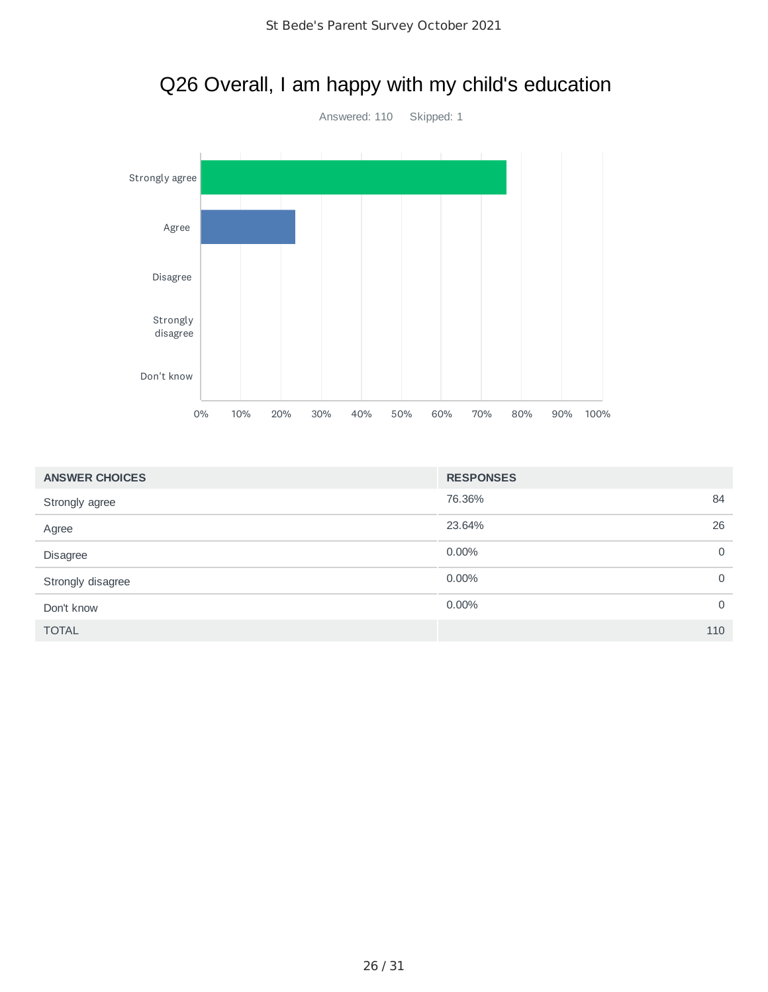

| <b>ANSWER CHOICES</b> | <b>RESPONSES</b> |             |
|-----------------------|------------------|-------------|
| Strongly agree        | 76.36%           | 84          |
| Agree                 | 23.64%           | 26          |
| Disagree              | 0.00%            | 0           |
| Strongly disagree     | 0.00%            | 0           |
| Don't know            | 0.00%            | $\mathbf 0$ |
| <b>TOTAL</b>          |                  | 110         |

#### Q26 Overall, I am happy with my child's education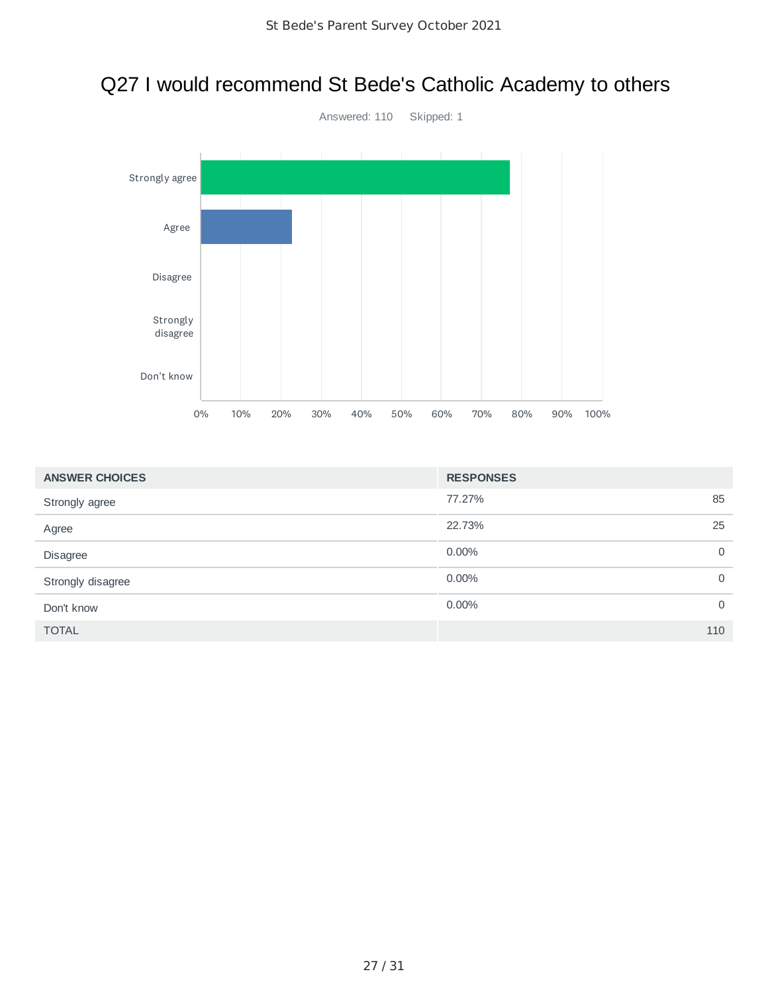# Q27 I would recommend St Bede's Catholic Academy to others



| <b>ANSWER CHOICES</b> | <b>RESPONSES</b> |             |
|-----------------------|------------------|-------------|
| Strongly agree        | 77.27%           | 85          |
| Agree                 | 22.73%           | 25          |
| Disagree              | 0.00%            | 0           |
| Strongly disagree     | 0.00%            | $\mathbf 0$ |
| Don't know            | $0.00\%$         | $\mathbf 0$ |
| <b>TOTAL</b>          |                  | 110         |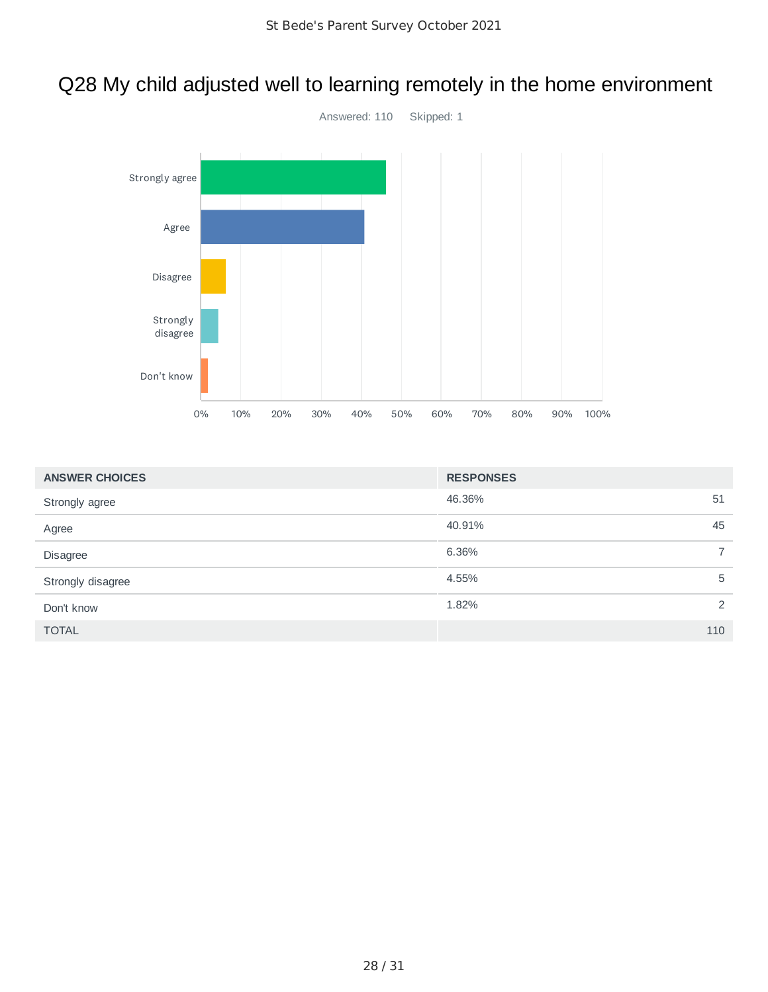### Q28 My child adjusted well to learning remotely in the home environment



| <b>ANSWER CHOICES</b> | <b>RESPONSES</b> |                |
|-----------------------|------------------|----------------|
| Strongly agree        | 46.36%           | 51             |
| Agree                 | 40.91%           | 45             |
| Disagree              | 6.36%            | $\overline{7}$ |
| Strongly disagree     | 4.55%            | 5              |
| Don't know            | 1.82%            | 2              |
| <b>TOTAL</b>          |                  | 110            |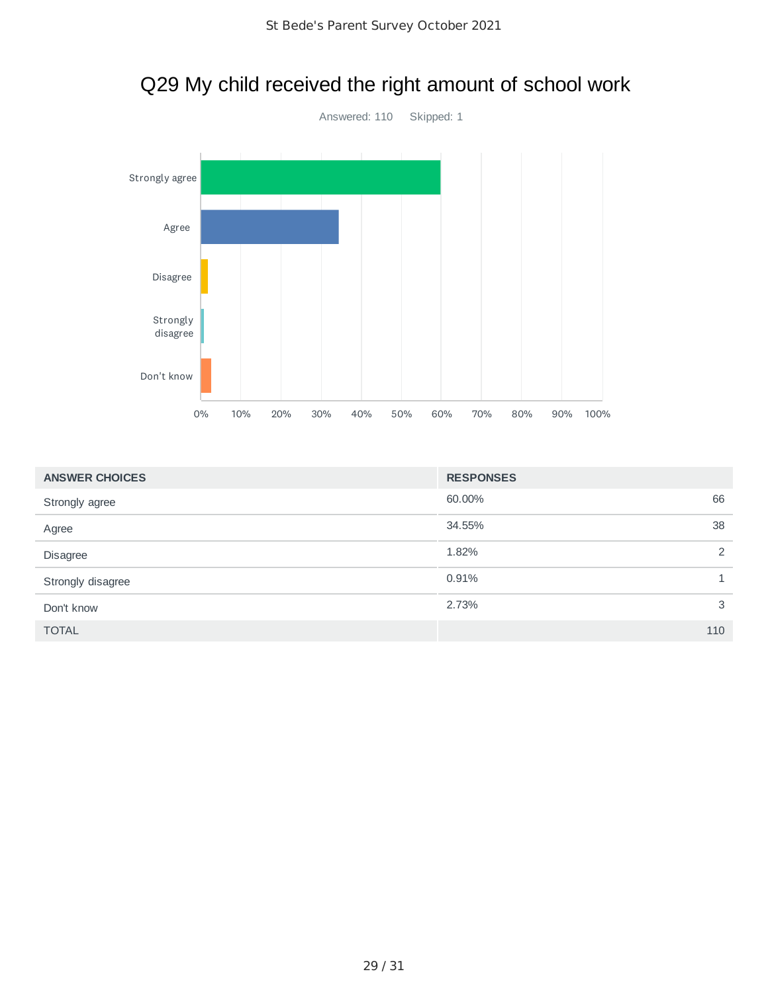

| <b>ANSWER CHOICES</b> | <b>RESPONSES</b> |                |
|-----------------------|------------------|----------------|
| Strongly agree        | 60.00%           | 66             |
| Agree                 | 34.55%           | 38             |
| Disagree              | 1.82%            | $\overline{2}$ |
| Strongly disagree     | 0.91%            |                |
| Don't know            | 2.73%            | 3              |
| <b>TOTAL</b>          |                  | 110            |

# Q29 My child received the right amount of school work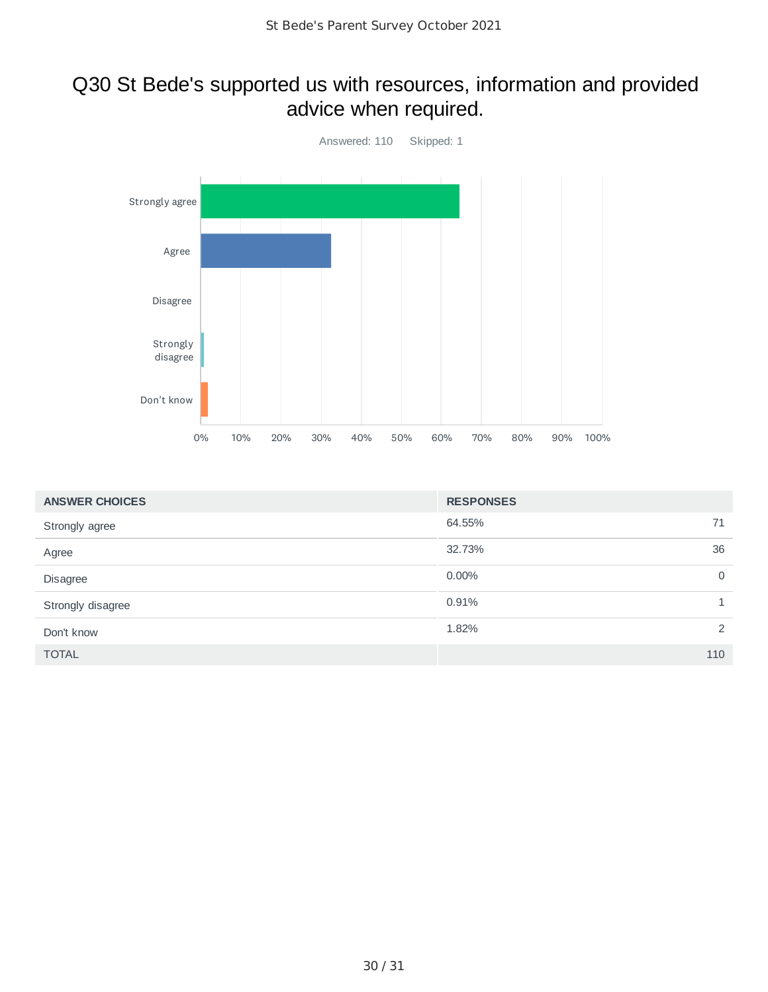#### Q30 St Bede's supported us with resources, information and provided advice when required.



| <b>ANSWER CHOICES</b> | <b>RESPONSES</b>     |
|-----------------------|----------------------|
| Strongly agree        | 64.55%<br>71         |
| Agree                 | 32.73%<br>36         |
| Disagree              | $\mathbf 0$<br>0.00% |
| Strongly disagree     | 0.91%                |
| Don't know            | 2<br>1.82%           |
| <b>TOTAL</b>          | 110                  |